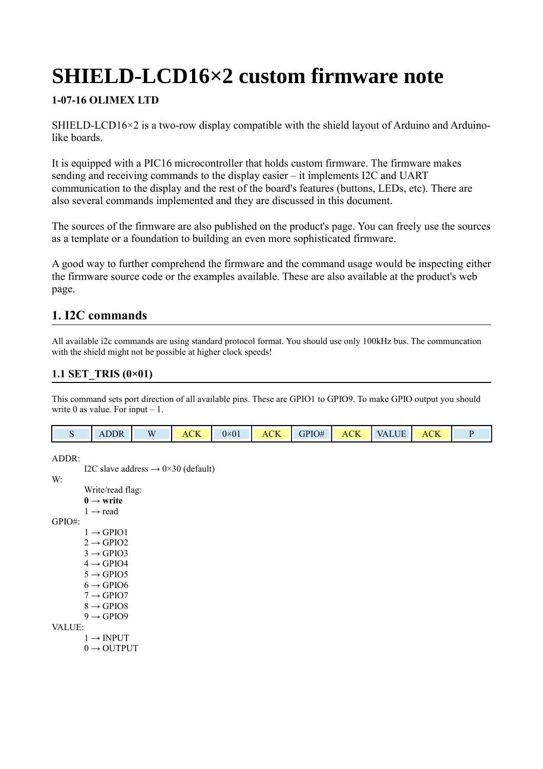# **SHIELD-LCD16×2 custom firmware note**

# **1-07-16 OLIMEX LTD**

SHIELD-LCD16×2 is a two-row display compatible with the shield layout of Arduino and Arduinolike boards.

It is equipped with a PIC16 microcontroller that holds custom firmware. The firmware makes sending and receiving commands to the display easier – it implements I2C and UART communication to the display and the rest of the board's features (buttons, LEDs, etc). There are also several commands implemented and they are discussed in this document.

The sources of the firmware are also published on the product's page. You can freely use the sources as a template or a foundation to building an even more sophisticated firmware.

A good way to further comprehend the firmware and the command usage would be inspecting either the firmware source code or the examples available. These are also available at the product's web page.

# **1. I2C commands**

All available i2c commands are using standard protocol format. You should use only 100kHz bus. The communcation with the shield might not be possible at higher clock speeds!

# **1.1 SET\_TRIS (0×01)**

This command sets port direction of all available pins. These are GPIO1 to GPIO9. To make GPIO output you should write 0 as value. For input  $-1$ .

|  | $\Lambda$ I | $\mathbf{W}$ | <b>ACK</b> | $0\times01$ | <b>ACK</b> | $\overline{AB}$ GPIO# $\overline{AB}$ | ACK<br>. | $\blacksquare$ VALUE | $\overline{\mathsf{C}}\overline{\mathsf{K}}$<br>$\Delta$ ( |  |
|--|-------------|--------------|------------|-------------|------------|---------------------------------------|----------|----------------------|------------------------------------------------------------|--|
|--|-------------|--------------|------------|-------------|------------|---------------------------------------|----------|----------------------|------------------------------------------------------------|--|

ADDR:

I2C slave address  $\rightarrow$  0×30 (default) W: Write/read flag:  $0 \rightarrow$  write  $1 \rightarrow$  read GPIO#:  $1 \rightarrow$  GPIO1  $2 \rightarrow$  GPIO2  $3 \rightarrow$  GPIO3  $4 \rightarrow$  GPIO4  $5 \rightarrow$  GPIO5  $6 \rightarrow$  GPIO6  $7 \rightarrow$  GPIO7  $8 \rightarrow$  GPIO8  $9 \rightarrow GPIO9$ VALUE:  $1 \rightarrow \text{INPUT}$  $0 \rightarrow$  OUTPUT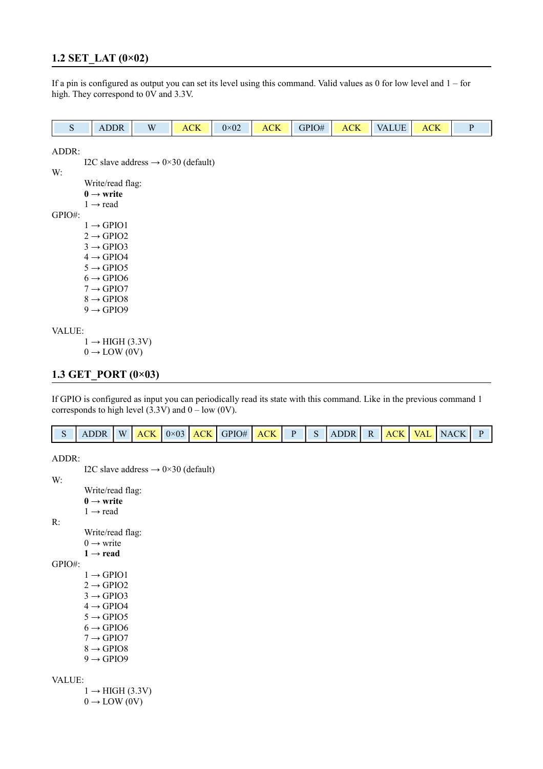## **1.2 SET\_LAT (0×02)**

If a pin is configured as output you can set its level using this command. Valid values as 0 for low level and 1 – for high. They correspond to 0V and 3.3V.

| ADDR<br>$\mathbf{A}$ . | $\overline{M}$ | $\sim$ Tz<br>Δı<br>AUN | $0 \times 02$ | $\sim$ T $\tau$<br>$\mathbf{A}$<br>TULL | GPIO# | $\sim$ T $\tau$<br>ACK. | <b>ALUF</b><br>$\Delta V$ | $\cap V$<br>ACK |  |
|------------------------|----------------|------------------------|---------------|-----------------------------------------|-------|-------------------------|---------------------------|-----------------|--|
|                        |                |                        |               |                                         |       |                         |                           |                 |  |

ADDR:

I2C slave address  $\rightarrow$  0×30 (default)

W:

Write/read flag:

**0 → write**  $1 \rightarrow$  read

GPIO#:

 $1 \rightarrow$  GPIO1

 $2 \rightarrow$  GPIO2

 $3 \rightarrow$  GPIO3

 $4 \rightarrow$  GPIO4

 $5 \rightarrow$  GPIO5

 $6 \rightarrow$  GPIO6

 $7 \rightarrow$  GPIO7

 $8 \rightarrow$  GPIO8

 $9 \rightarrow GPIO9$ 

#### VALUE:

 $1 \rightarrow HIGH (3.3V)$ 

 $0 \rightarrow$  LOW (0V)

## **1.3 GET\_PORT (0×03)**

If GPIO is configured as input you can periodically read its state with this command. Like in the previous command 1 corresponds to high level  $(3.3V)$  and  $0 - low (0V)$ .

| S ADDR W ACK 0×03 ACK GPIO# ACK P S ADDR R ACK VAL NACK P |  |
|-----------------------------------------------------------|--|
|-----------------------------------------------------------|--|

```
ADDR:
            I2C slave address \rightarrow 0×30 (default)
W:
            Write/read flag:
            0 → write 
            1 \rightarrow read
R:
            Write/read flag:
            0 \rightarrow write
            1 \rightarrow read
GPIO#:
            1 \rightarrow GPIO1
           2 \rightarrow GPIO2
            3 \rightarrow GPIO3
           4 \rightarrow GPIO4
            5 \rightarrow GPIO5
            6 \rightarrow GPIO6
            7 \rightarrow GPIO7
            8 \rightarrow GPIO8
            9 \rightarrow GPIO9VALUE:
            1 \rightarrow HIGH (3.3V)0 \rightarrow LOW (0V)
```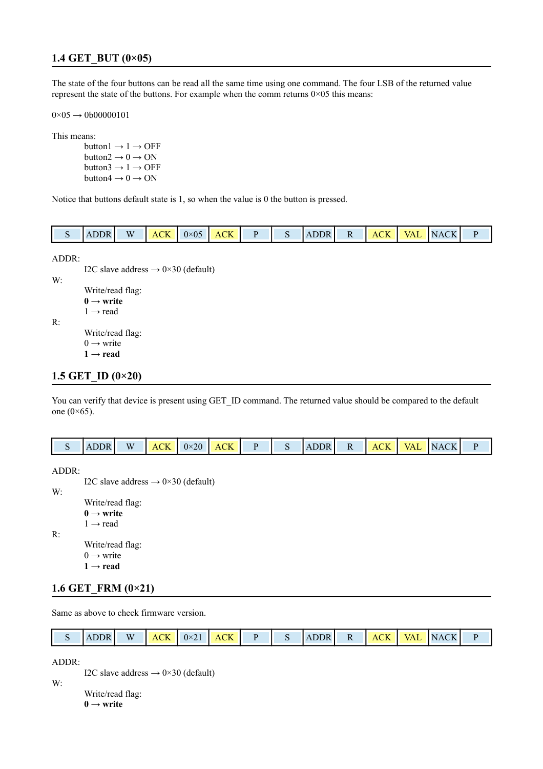## **1.4 GET\_BUT (0×05)**

The state of the four buttons can be read all the same time using one command. The four LSB of the returned value represent the state of the buttons. For example when the comm returns 0×05 this means:

 $0\times05 \rightarrow 0000000101$ 

This means:

button1  $\rightarrow$  1  $\rightarrow$  OFF button $2 \rightarrow 0 \rightarrow ON$ button $3 \rightarrow 1 \rightarrow$  OFF button $4 \rightarrow 0 \rightarrow ON$ 

Notice that buttons default state is 1, so when the value is 0 the button is pressed.

|  | ຼ | . IK<br>$\Delta$ | W | $\sim$ TT | $\sim$<br>$\sim$ | CK<br>Δ( |  |  | $\Lambda$ | . . | $\mathbf{A}$ | $\sqrt{A}$ | $\cap$ K<br>$\overline{\phantom{0}}$ |  |
|--|---|------------------|---|-----------|------------------|----------|--|--|-----------|-----|--------------|------------|--------------------------------------|--|
|--|---|------------------|---|-----------|------------------|----------|--|--|-----------|-----|--------------|------------|--------------------------------------|--|

ADDR:

I2C slave address  $\rightarrow$  0×30 (default) W: Write/read flag: **0 → write**   $1 \rightarrow$  read R:

Write/read flag:  $0 \rightarrow$  write

**1 → read**

## **1.5 GET\_ID (0×20)**

You can verify that device is present using GET\_ID command. The returned value should be compared to the default one  $(0\times 65)$ .

|  | <b>ADDR</b> | $\mathbf{W}$ |  | $ACK$ $0 \times 20$ $ACK$ |  |  |  | $\mathbf{R}$ |  | ìК.<br>A ( |  | VAL NACK |  |
|--|-------------|--------------|--|---------------------------|--|--|--|--------------|--|------------|--|----------|--|
|--|-------------|--------------|--|---------------------------|--|--|--|--------------|--|------------|--|----------|--|

ADDR:

I2C slave address  $\rightarrow 0 \times 30$  (default) W: Write/read flag: **0 → write**   $1 \rightarrow$  read R: Write/read flag:

 $0 \rightarrow$  write

 $1 \rightarrow$  read

## **1.6 GET\_FRM (0×21)**

Same as above to check firmware version.

| W<br>ACK<br>$ACK$ $0 \times 21$ $\Box$<br>NACK<br>R.<br>$\blacksquare$<br>ו פרורי<br>ACK<br>VAI.<br>. . |
|---------------------------------------------------------------------------------------------------------|
|---------------------------------------------------------------------------------------------------------|

ADDR:

I2C slave address  $\rightarrow 0 \times 30$  (default)

W:

Write/read flag: **0 → write**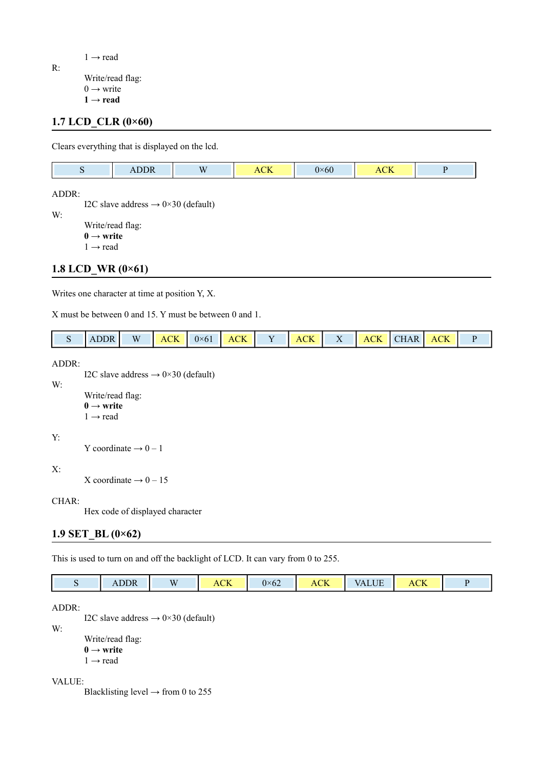R:

 $1 \rightarrow$  read

Write/read flag:  $0 \rightarrow$  write  $1 \rightarrow$  read

## **1.7 LCD\_CLR (0×60)**

Clears everything that is displayed on the lcd.

| $- - -$<br>$\Delta$<br>$1100 + 11$ | $\mathbf{X}$ | $\overline{C}$<br>.<br>reix | $2\times 60$ | $\sim$ T $\tau$<br>$A_{L1}$ |  |
|------------------------------------|--------------|-----------------------------|--------------|-----------------------------|--|
|                                    |              |                             |              |                             |  |

ADDR:

I2C slave address  $\rightarrow 0 \times 30$  (default) W:

> Write/read flag: **0 → write**  $1 \rightarrow$  read

## **1.8 LCD\_WR (0×61)**

Writes one character at time at position Y, X.

X must be between 0 and 15. Y must be between 0 and 1.

| <b>ADDR</b> | W | $\parallel$ ACK $\parallel$ 0×61 $\parallel$ ACK |  | <b>ACK</b> |  | ACK CHAR ACK |  |
|-------------|---|--------------------------------------------------|--|------------|--|--------------|--|
|             |   |                                                  |  |            |  |              |  |

#### ADDR:

I2C slave address  $\rightarrow 0 \times 30$  (default)

W:

```
Write/read flag:
0 \rightarrow write
1 \rightarrow read
```
#### Y:

Y coordinate  $\rightarrow 0-1$ 

#### X:

X coordinate  $\rightarrow$  0 – 15

#### CHAR:

Hex code of displayed character

## **1.9 SET\_BL (0×62)**

This is used to turn on and off the backlight of LCD. It can vary from 0 to 255.

| ADDR | W | $\sim$ TZ<br>ACK | $\epsilon$<br>$0\times 62$ | <b>ACK</b> | /ALUE | $\bigcap$<br>ACK |  |
|------|---|------------------|----------------------------|------------|-------|------------------|--|

#### ADDR:

W:

I2C slave address  $\rightarrow 0 \times 30$  (default) Write/read flag:  $0 \rightarrow$  write  $1 \rightarrow$  read

#### VALUE:

Blacklisting level  $\rightarrow$  from 0 to 255